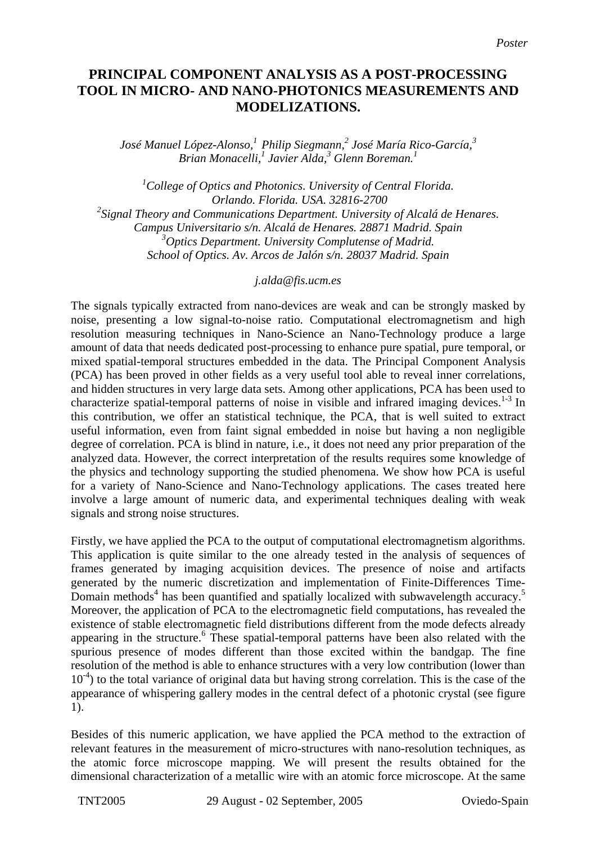## **PRINCIPAL COMPONENT ANALYSIS AS A POST-PROCESSING TOOL IN MICRO- AND NANO-PHOTONICS MEASUREMENTS AND MODELIZATIONS.**

 $J$ osé Manuel López-Alonso, $^{1}$  Philip Siegmann, $^{2}$  José María Rico-García, $^{3}$ *Brian Monacelli,1 Javier Alda,<sup>3</sup> Glenn Boreman.1* 

*1 College of Optics and Photonics. University of Central Florida. Orlando. Florida. USA. 32816-2700 2 Signal Theory and Communications Department. University of Alcalá de Henares. Campus Universitario s/n. Alcalá de Henares. 28871 Madrid. Spain 3 Optics Department. University Complutense of Madrid. School of Optics. Av. Arcos de Jalón s/n. 28037 Madrid. Spain* 

## *j.alda@fis.ucm.es*

The signals typically extracted from nano-devices are weak and can be strongly masked by noise, presenting a low signal-to-noise ratio. Computational electromagnetism and high resolution measuring techniques in Nano-Science an Nano-Technology produce a large amount of data that needs dedicated post-processing to enhance pure spatial, pure temporal, or mixed spatial-temporal structures embedded in the data. The Principal Component Analysis (PCA) has been proved in other fields as a very useful tool able to reveal inner correlations, and hidden structures in very large data sets. Among other applications, PCA has been used to characterize spatial-temporal patterns of noise in visible and infrared imaging devices. $1-3$  In this contribution, we offer an statistical technique, the PCA, that is well suited to extract useful information, even from faint signal embedded in noise but having a non negligible degree of correlation. PCA is blind in nature, i.e., it does not need any prior preparation of the analyzed data. However, the correct interpretation of the results requires some knowledge of the physics and technology supporting the studied phenomena. We show how PCA is useful for a variety of Nano-Science and Nano-Technology applications. The cases treated here involve a large amount of numeric data, and experimental techniques dealing with weak signals and strong noise structures.

Firstly, we have applied the PCA to the output of computational electromagnetism algorithms. This application is quite similar to the one already tested in the analysis of sequences of frames generated by imaging acquisition devices. The presence of noise and artifacts generated by the numeric discretization and implementation of Finite-Differences Time-Domain methods<sup>4</sup> has been quantified and spatially localized with subwavelength accuracy.<sup>5</sup> Moreover, the application of PCA to the electromagnetic field computations, has revealed the existence of stable electromagnetic field distributions different from the mode defects already appearing in the structure.<sup>6</sup> These spatial-temporal patterns have been also related with the spurious presence of modes different than those excited within the bandgap. The fine resolution of the method is able to enhance structures with a very low contribution (lower than  $10^{-4}$ ) to the total variance of original data but having strong correlation. This is the case of the appearance of whispering gallery modes in the central defect of a photonic crystal (see figure 1).

Besides of this numeric application, we have applied the PCA method to the extraction of relevant features in the measurement of micro-structures with nano-resolution techniques, as the atomic force microscope mapping. We will present the results obtained for the dimensional characterization of a metallic wire with an atomic force microscope. At the same